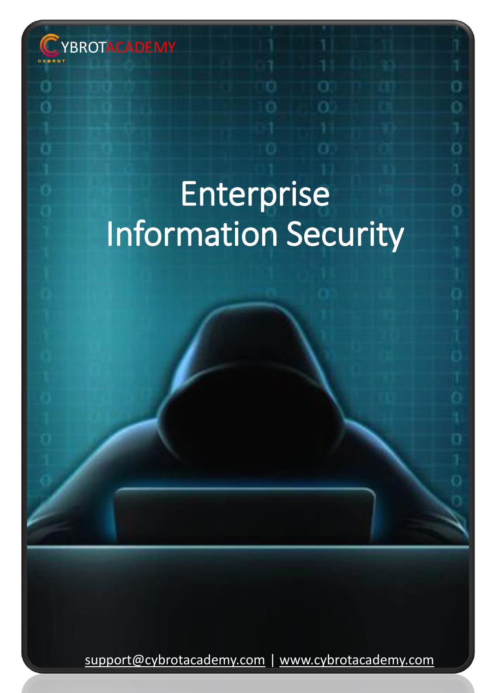

# Enterprise Information Security

[support@cybrotacademy.com](mailto:support@cybrotacademy.com) | [www.cybrotacademy.com](http://www.cybrotacademy.com/)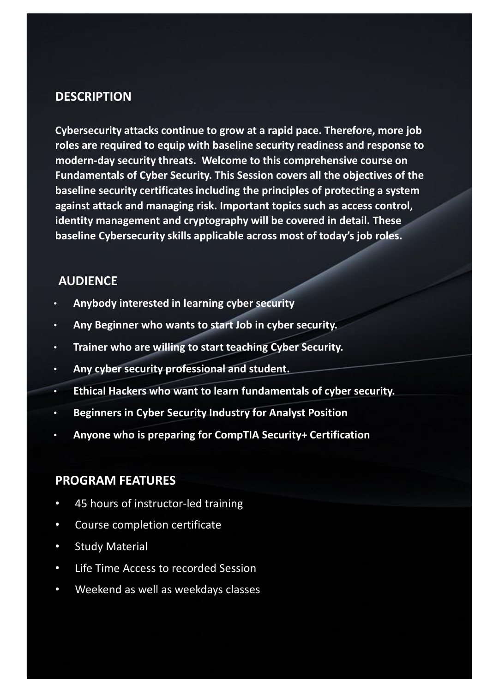# **DESCRIPTION**

**Cybersecurity attacks continue to grow at a rapid pace. Therefore, more job roles are required to equip with baseline security readiness and response to modern-day security threats. Welcome to this comprehensive course on Fundamentals of Cyber Security. This Session covers all the objectives of the baseline security certificates including the principles of protecting a system against attack and managing risk. Important topics such as access control, identity management and cryptography will be covered in detail. These baseline Cybersecurity skills applicable across most of today's job roles.**

# **AUDIENCE**

- **Anybody interested in learning cyber security**
- **Any Beginner who wants to start Job in cyber security.**
- **Trainer who are willing to start teaching Cyber Security.**
- **Any cyber security professional and student.**
- **Ethical Hackers who want to learn fundamentals of cyber security.**
- **Beginners in Cyber Security Industry for Analyst Position**
- **Anyone who is preparing for CompTIA Security+ Certification**

# **PROGRAM FEATURES**

- 45 hours of instructor-led training
- Course completion certificate
- Study Material
- Life Time Access to recorded Session
- Weekend as well as weekdays classes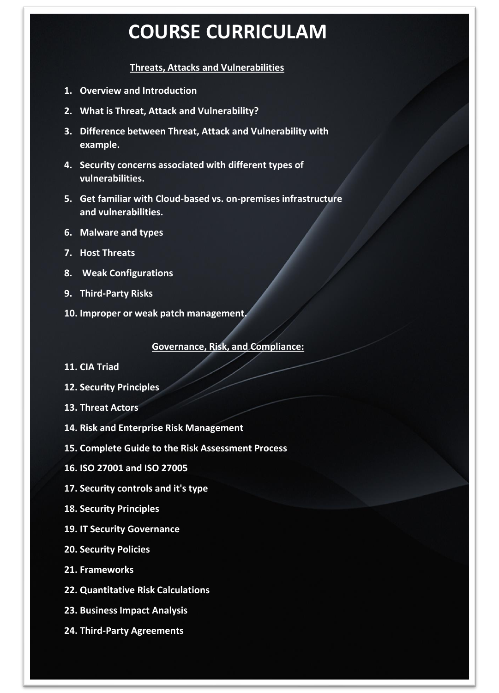# **COURSE CURRICULAM**

#### **Threats, Attacks and Vulnerabilities**

- **1. Overview and Introduction**
- **2. What is Threat, Attack and Vulnerability?**
- **3. Difference between Threat, Attack and Vulnerability with example.**
- **4. Security concerns associated with different types of vulnerabilities.**
- **5. Get familiar with Cloud-based vs. on-premises infrastructure and vulnerabilities.**
- **6. Malware and types**
- **7. Host Threats**
- **8. Weak Configurations**
- **9. Third-Party Risks**
- **10. Improper or weak patch management.**

**Governance, Risk, and Compliance:**

- **11. CIA Triad**
- **12. Security Principles**
- **13. Threat Actors**
- **14. Risk and Enterprise Risk Management**
- **15. Complete Guide to the Risk Assessment Process**
- **16. ISO 27001 and ISO 27005**
- **17. Security controls and it's type**
- **18. Security Principles**
- **19. IT Security Governance**
- **20. Security Policies**
- **21. Frameworks**
- **22. Quantitative Risk Calculations**
- **23. Business Impact Analysis**
- **24. Third-Party Agreements**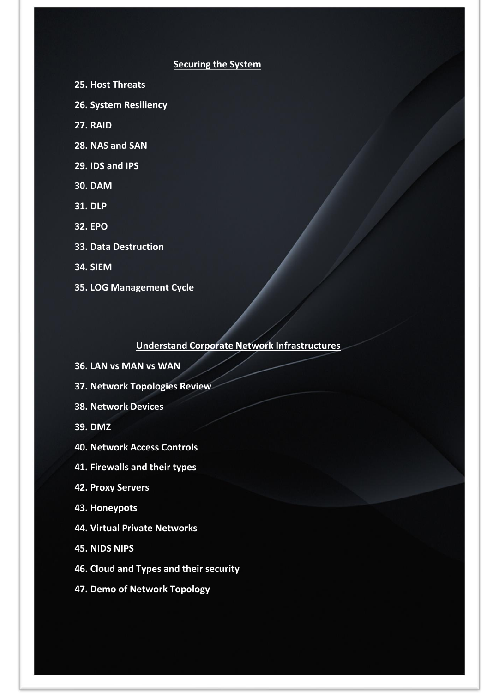## **Securing the System**

**25. Host Threats**

**26. System Resiliency**

**27. RAID**

**28. NAS and SAN**

**29. IDS and IPS**

**30. DAM**

**31. DLP**

**32. EPO**

**33. Data Destruction**

**34. SIEM**

**35. LOG Management Cycle**

**Understand Corporate Network Infrastructures** 

**36. LAN vs MAN vs WAN**

**37. Network Topologies Review**

**38. Network Devices** 

**39. DMZ**

**40. Network Access Controls**

**41. Firewalls and their types**

**42. Proxy Servers**

**43. Honeypots**

**44. Virtual Private Networks**

**45. NIDS NIPS**

**46. Cloud and Types and their security**

**47. Demo of Network Topology**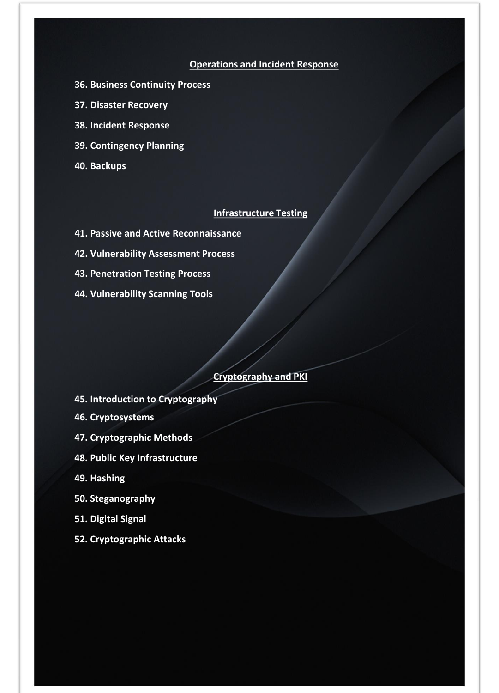#### **Operations and Incident Response**

- **36. Business Continuity Process**
- **37. Disaster Recovery**
- **38. Incident Response**
- **39. Contingency Planning**
- **40. Backups**

### **Infrastructure Testing**

- **41. Passive and Active Reconnaissance**
- **42. Vulnerability Assessment Process**
- **43. Penetration Testing Process**
- **44. Vulnerability Scanning Tools**

#### **Cryptography and PKI**

- **45. Introduction to Cryptography**
- **46. Cryptosystems**
- **47. Cryptographic Methods**
- **48. Public Key Infrastructure**
- **49. Hashing**
- **50. Steganography**
- **51. Digital Signal**
- **52. Cryptographic Attacks**